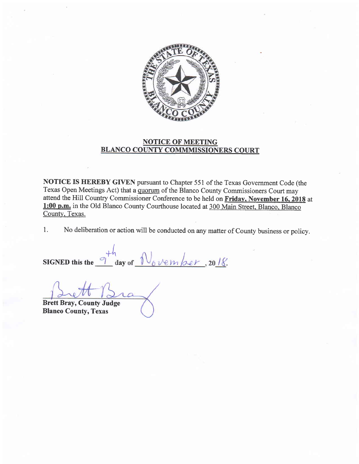

## NOTICE OF MEETING BLANCO COUNTY COMMMISSIONERS COURT

NOTICE IS HEREBY GIVEN pursuant to Chapter 551 of the Texas Government Code (the Texas Open Meetings Act) that a quorum of the Blanco County Commissioners Court may attend the Hill Country Commissioner Conference to be held on Friday, November 16, 2018 at l:00 p.m. in the Old Blanco County Courthouse located at 300 Main Street. Blanco. Blanco County. Texas.

1. No deliberation or action will be conducted on any mafier of County business or policy.

SIGNED this the  $<sup>th</sup> day of  $\frac{1}{\sqrt{6}}\frac{1}{\sqrt{6}}\frac{1}{\sqrt{6}}$ , 2018.$ 

Brett Bray, County Judge Blanco County, Texas